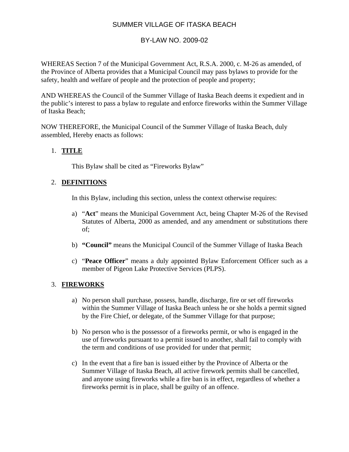# SUMMER VILLAGE OF ITASKA BEACH

## BY-LAW NO. 2009-02

WHEREAS Section 7 of the Municipal Government Act, R.S.A. 2000, c. M-26 as amended, of the Province of Alberta provides that a Municipal Council may pass bylaws to provide for the safety, health and welfare of people and the protection of people and property;

AND WHEREAS the Council of the Summer Village of Itaska Beach deems it expedient and in the public's interest to pass a bylaw to regulate and enforce fireworks within the Summer Village of Itaska Beach;

NOW THEREFORE, the Municipal Council of the Summer Village of Itaska Beach, duly assembled, Hereby enacts as follows:

## 1. **TITLE**

This Bylaw shall be cited as "Fireworks Bylaw"

## 2. **DEFINITIONS**

In this Bylaw, including this section, unless the context otherwise requires:

- a) "**Act**" means the Municipal Government Act, being Chapter M-26 of the Revised Statutes of Alberta, 2000 as amended, and any amendment or substitutions there of;
- b) **"Council"** means the Municipal Council of the Summer Village of Itaska Beach
- c) "**Peace Officer**" means a duly appointed Bylaw Enforcement Officer such as a member of Pigeon Lake Protective Services (PLPS).

## 3. **FIREWORKS**

- a) No person shall purchase, possess, handle, discharge, fire or set off fireworks within the Summer Village of Itaska Beach unless he or she holds a permit signed by the Fire Chief, or delegate, of the Summer Village for that purpose;
- b) No person who is the possessor of a fireworks permit, or who is engaged in the use of fireworks pursuant to a permit issued to another, shall fail to comply with the term and conditions of use provided for under that permit;
- c) In the event that a fire ban is issued either by the Province of Alberta or the Summer Village of Itaska Beach, all active firework permits shall be cancelled, and anyone using fireworks while a fire ban is in effect, regardless of whether a fireworks permit is in place, shall be guilty of an offence.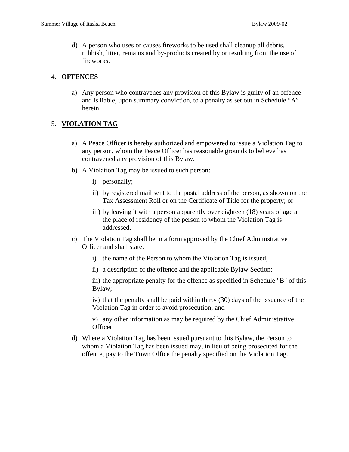d) A person who uses or causes fireworks to be used shall cleanup all debris, rubbish, litter, remains and by-products created by or resulting from the use of fireworks.

#### 4. **OFFENCES**

a) Any person who contravenes any provision of this Bylaw is guilty of an offence and is liable, upon summary conviction, to a penalty as set out in Schedule "A" herein.

## 5. **VIOLATION TAG**

- a) A Peace Officer is hereby authorized and empowered to issue a Violation Tag to any person, whom the Peace Officer has reasonable grounds to believe has contravened any provision of this Bylaw.
- b) A Violation Tag may be issued to such person:
	- i) personally;
	- ii) by registered mail sent to the postal address of the person, as shown on the Tax Assessment Roll or on the Certificate of Title for the property; or
	- iii) by leaving it with a person apparently over eighteen (18) years of age at the place of residency of the person to whom the Violation Tag is addressed.
- c) The Violation Tag shall be in a form approved by the Chief Administrative Officer and shall state:
	- i) the name of the Person to whom the Violation Tag is issued;
	- ii) a description of the offence and the applicable Bylaw Section;

iii) the appropriate penalty for the offence as specified in Schedule "B" of this Bylaw;

iv) that the penalty shall be paid within thirty (30) days of the issuance of the Violation Tag in order to avoid prosecution; and

v) any other information as may be required by the Chief Administrative Officer.

d) Where a Violation Tag has been issued pursuant to this Bylaw, the Person to whom a Violation Tag has been issued may, in lieu of being prosecuted for the offence, pay to the Town Office the penalty specified on the Violation Tag.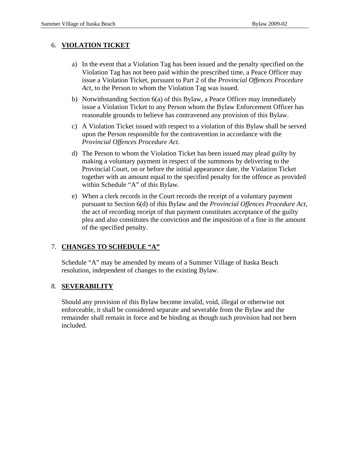#### 6. **VIOLATION TICKET**

- a) In the event that a Violation Tag has been issued and the penalty specified on the Violation Tag has not been paid within the prescribed time, a Peace Officer may issue a Violation Ticket, pursuant to Part 2 of the *Provincial Offences Procedure Act*, to the Person to whom the Violation Tag was issued.
- b) Notwithstanding Section 6(a) of this Bylaw, a Peace Officer may immediately issue a Violation Ticket to any Person whom the Bylaw Enforcement Officer has reasonable grounds to believe has contravened any provision of this Bylaw.
- c) A Violation Ticket issued with respect to a violation of this Bylaw shall be served upon the Person responsible for the contravention in accordance with the *Provincial Offences Procedure Act*.
- d) The Person to whom the Violation Ticket has been issued may plead guilty by making a voluntary payment in respect of the summons by delivering to the Provincial Court, on or before the initial appearance date, the Violation Ticket together with an amount equal to the specified penalty for the offence as provided within Schedule "A" of this Bylaw.
- e) When a clerk records in the Court records the receipt of a voluntary payment pursuant to Section 6(d) of this Bylaw and the *Provincial Offences Procedure Act*, the act of recording receipt of that payment constitutes acceptance of the guilty plea and also constitutes the conviction and the imposition of a fine in the amount of the specified penalty.

## 7. **CHANGES TO SCHEDULE "A"**

Schedule "A" may be amended by means of a Summer Village of Itaska Beach resolution, independent of changes to the existing Bylaw.

## 8. **SEVERABILITY**

Should any provision of this Bylaw become invalid, void, illegal or otherwise not enforceable, it shall be considered separate and severable from the Bylaw and the remainder shall remain in force and be binding as though such provision had not been included.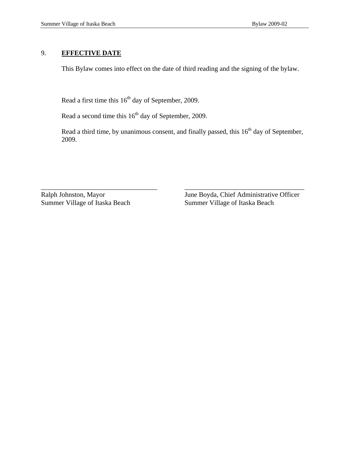#### 9. **EFFECTIVE DATE**

This Bylaw comes into effect on the date of third reading and the signing of the bylaw.

Read a first time this  $16<sup>th</sup>$  day of September, 2009.

Read a second time this  $16<sup>th</sup>$  day of September, 2009.

Read a third time, by unanimous consent, and finally passed, this  $16<sup>th</sup>$  day of September, 2009.

\_\_\_\_\_\_\_\_\_\_\_\_\_\_\_\_\_\_\_\_\_\_\_\_\_\_\_\_\_\_\_\_\_\_ \_\_\_\_\_\_\_\_\_\_\_\_\_\_\_\_\_\_\_\_\_\_\_\_\_\_\_\_\_\_\_\_\_\_\_

Ralph Johnston, Mayor June Boyda, Chief Administrative Officer Summer Village of Itaska Beach Summer Village of Itaska Beach